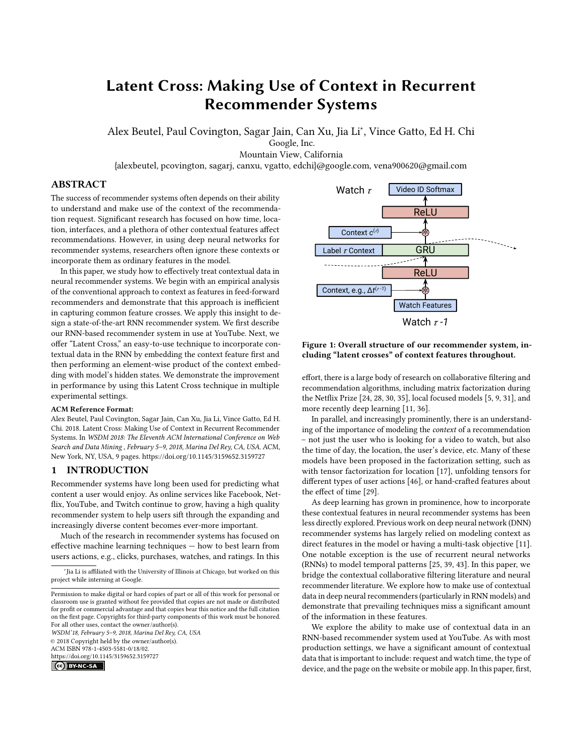# Latent Cross: Making Use of Context in Recurrent Recommender Systems

Alex Beutel, Paul Covington, Sagar Jain, Can Xu, Jia Li<sup>∗</sup> , Vince Gatto, Ed H. Chi Google, Inc.

Mountain View, California

{alexbeutel, pcovington, sagarj, canxu, vgatto, edchi}@google.com, vena900620@gmail.com

# ABSTRACT

The success of recommender systems often depends on their ability to understand and make use of the context of the recommendation request. Significant research has focused on how time, location, interfaces, and a plethora of other contextual features affect recommendations. However, in using deep neural networks for recommender systems, researchers often ignore these contexts or incorporate them as ordinary features in the model.

In this paper, we study how to effectively treat contextual data in neural recommender systems. We begin with an empirical analysis of the conventional approach to context as features in feed-forward recommenders and demonstrate that this approach is inefficient in capturing common feature crosses. We apply this insight to design a state-of-the-art RNN recommender system. We first describe our RNN-based recommender system in use at YouTube. Next, we offer "Latent Cross," an easy-to-use technique to incorporate contextual data in the RNN by embedding the context feature first and then performing an element-wise product of the context embedding with model's hidden states. We demonstrate the improvement in performance by using this Latent Cross technique in multiple experimental settings.

#### ACM Reference Format:

Alex Beutel, Paul Covington, Sagar Jain, Can Xu, Jia Li, Vince Gatto, Ed H. Chi. 2018. Latent Cross: Making Use of Context in Recurrent Recommender Systems. In WSDM 2018: The Eleventh ACM International Conference on Web Search and Data Mining , February 5–9, 2018, Marina Del Rey, CA, USA. ACM, New York, NY, USA, [9](#page-8-0) pages.<https://doi.org/10.1145/3159652.3159727>

# 1 INTRODUCTION

Recommender systems have long been used for predicting what content a user would enjoy. As online services like Facebook, Netflix, YouTube, and Twitch continue to grow, having a high quality recommender system to help users sift through the expanding and increasingly diverse content becomes ever-more important.

Much of the research in recommender systems has focused on effective machine learning techniques — how to best learn from users actions, e.g., clicks, purchases, watches, and ratings. In this

WSDM'18, February 5–9, 2018, Marina Del Rey, CA, USA © 2018 Copyright held by the owner/author(s). ACM ISBN 978-1-4503-5581-0/18/02. <https://doi.org/10.1145/3159652.3159727>



<span id="page-0-0"></span>

# Figure 1: Overall structure of our recommender system, including "latent crosses" of context features throughout.

effort, there is a large body of research on collaborative filtering and recommendation algorithms, including matrix factorization during the Netflix Prize [\[24,](#page-8-1) [28,](#page-8-2) [30,](#page-8-3) [35\]](#page-8-4), local focused models [\[5,](#page-8-5) [9,](#page-8-6) [31\]](#page-8-7), and more recently deep learning [\[11,](#page-8-8) [36\]](#page-8-9).

In parallel, and increasingly prominently, there is an understanding of the importance of modeling the context of a recommendation – not just the user who is looking for a video to watch, but also the time of day, the location, the user's device, etc. Many of these models have been proposed in the factorization setting, such as with tensor factorization for location [\[17\]](#page-8-10), unfolding tensors for different types of user actions [\[46\]](#page-8-11), or hand-crafted features about the effect of time [\[29\]](#page-8-12).

As deep learning has grown in prominence, how to incorporate these contextual features in neural recommender systems has been less directly explored. Previous work on deep neural network (DNN) recommender systems has largely relied on modeling context as direct features in the model or having a multi-task objective [\[11\]](#page-8-8). One notable exception is the use of recurrent neural networks (RNNs) to model temporal patterns [\[25,](#page-8-13) [39,](#page-8-14) [43\]](#page-8-15). In this paper, we bridge the contextual collaborative filtering literature and neural recommender literature. We explore how to make use of contextual data in deep neural recommenders (particularly in RNN models) and demonstrate that prevailing techniques miss a significant amount of the information in these features.

We explore the ability to make use of contextual data in an RNN-based recommender system used at YouTube. As with most production settings, we have a significant amount of contextual data that is important to include: request and watch time, the type of device, and the page on the website or mobile app. In this paper, first,

<sup>∗</sup> Jia Li is affiliated with the University of Illinois at Chicago, but worked on this project while interning at Google.

Permission to make digital or hard copies of part or all of this work for personal or classroom use is granted without fee provided that copies are not made or distributed for profit or commercial advantage and that copies bear this notice and the full citation on the first page. Copyrights for third-party components of this work must be honored. For all other uses, contact the owner/author(s).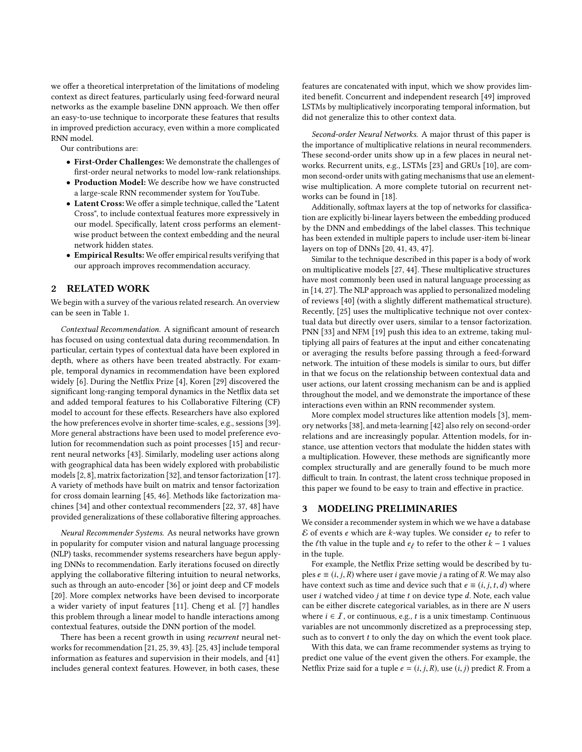we offer a theoretical interpretation of the limitations of modeling context as direct features, particularly using feed-forward neural networks as the example baseline DNN approach. We then offer an easy-to-use technique to incorporate these features that results in improved prediction accuracy, even within a more complicated RNN model.

Our contributions are:

- First-Order Challenges: We demonstrate the challenges of first-order neural networks to model low-rank relationships.
- Production Model: We describe how we have constructed a large-scale RNN recommender system for YouTube.
- Latent Cross: We offer a simple technique, called the "Latent Cross", to include contextual features more expressively in our model. Specifically, latent cross performs an elementwise product between the context embedding and the neural network hidden states.
- Empirical Results: We offer empirical results verifying that our approach improves recommendation accuracy.

# 2 RELATED WORK

We begin with a survey of the various related research. An overview can be seen in Table [1.](#page-2-0)

Contextual Recommendation. A significant amount of research has focused on using contextual data during recommendation. In particular, certain types of contextual data have been explored in depth, where as others have been treated abstractly. For example, temporal dynamics in recommendation have been explored widely [\[6\]](#page-8-16). During the Netflix Prize [\[4\]](#page-8-17), Koren [\[29\]](#page-8-12) discovered the significant long-ranging temporal dynamics in the Netflix data set and added temporal features to his Collaborative Filtering (CF) model to account for these effects. Researchers have also explored the how preferences evolve in shorter time-scales, e.g., sessions [\[39\]](#page-8-14). More general abstractions have been used to model preference evolution for recommendation such as point processes [\[15\]](#page-8-18) and recurrent neural networks [\[43\]](#page-8-15). Similarly, modeling user actions along with geographical data has been widely explored with probabilistic models [\[2,](#page-8-19) [8\]](#page-8-20), matrix factorization [\[32\]](#page-8-21), and tensor factorization [\[17\]](#page-8-10). A variety of methods have built on matrix and tensor factorization for cross domain learning [\[45,](#page-8-22) [46\]](#page-8-11). Methods like factorization machines [\[34\]](#page-8-23) and other contextual recommenders [\[22,](#page-8-24) [37,](#page-8-25) [48\]](#page-8-26) have provided generalizations of these collaborative filtering approaches.

Neural Recommender Systems. As neural networks have grown in popularity for computer vision and natural language processing (NLP) tasks, recommender systems researchers have begun applying DNNs to recommendation. Early iterations focused on directly applying the collaborative filtering intuition to neural networks, such as through an auto-encoder [\[36\]](#page-8-9) or joint deep and CF models [\[20\]](#page-8-27). More complex networks have been devised to incorporate a wider variety of input features [\[11\]](#page-8-8). Cheng et al. [\[7\]](#page-8-28) handles this problem through a linear model to handle interactions among contextual features, outside the DNN portion of the model.

There has been a recent growth in using recurrent neural networks for recommendation [\[21,](#page-8-29) [25,](#page-8-13) [39,](#page-8-14) [43\]](#page-8-15). [\[25,](#page-8-13) [43\]](#page-8-15) include temporal information as features and supervision in their models, and [\[41\]](#page-8-30) includes general context features. However, in both cases, these

features are concatenated with input, which we show provides limited benefit. Concurrent and independent research [\[49\]](#page-8-31) improved LSTMs by multiplicatively incorporating temporal information, but did not generalize this to other context data.

Second-order Neural Networks. A major thrust of this paper is the importance of multiplicative relations in neural recommenders. These second-order units show up in a few places in neural networks. Recurrent units, e.g., LSTMs [\[23\]](#page-8-32) and GRUs [\[10\]](#page-8-33), are common second-order units with gating mechanisms that use an elementwise multiplication. A more complete tutorial on recurrent networks can be found in [\[18\]](#page-8-34).

Additionally, softmax layers at the top of networks for classification are explicitly bi-linear layers between the embedding produced by the DNN and embeddings of the label classes. This technique has been extended in multiple papers to include user-item bi-linear layers on top of DNNs [\[20,](#page-8-27) [41,](#page-8-30) [43,](#page-8-15) [47\]](#page-8-35).

Similar to the technique described in this paper is a body of work on multiplicative models [\[27,](#page-8-36) [44\]](#page-8-37). These multiplicative structures have most commonly been used in natural language processing as in [\[14,](#page-8-38) [27\]](#page-8-36). The NLP approach was applied to personalized modeling of reviews [\[40\]](#page-8-39) (with a slightly different mathematical structure). Recently, [\[25\]](#page-8-13) uses the multiplicative technique not over contextual data but directly over users, similar to a tensor factorization. PNN [\[33\]](#page-8-40) and NFM [\[19\]](#page-8-41) push this idea to an extreme, taking multiplying all pairs of features at the input and either concatenating or averaging the results before passing through a feed-forward network. The intuition of these models is similar to ours, but differ in that we focus on the relationship between contextual data and user actions, our latent crossing mechanism can be and is applied throughout the model, and we demonstrate the importance of these interactions even within an RNN recommender system.

More complex model structures like attention models [\[3\]](#page-8-42), memory networks [\[38\]](#page-8-43), and meta-learning [\[42\]](#page-8-44) also rely on second-order relations and are increasingly popular. Attention models, for instance, use attention vectors that modulate the hidden states with a multiplication. However, these methods are significantly more complex structurally and are generally found to be much more difficult to train. In contrast, the latent cross technique proposed in this paper we found to be easy to train and effective in practice.

#### 3 MODELING PRELIMINARIES

We consider a recommender system in which we we have a database  $\mathcal E$  of events e which are k-way tuples. We consider  $e_\ell$  to refer to the  $\ell$ th value in the tuple and  $e_\ell$  to refer to the other  $k-1$  values the *ℓ*th value in the tuple and  $e_{\bar{\ell}}$  to refer to the other  $k - 1$  values in the tuple in the tuple.

For example, the Netflix Prize setting would be described by tuples  $e \equiv (i, j, R)$  where user *i* gave movie *j* a rating of *R*. We may also have context such as time and device such that  $e \equiv (i, j, t, d)$  where user i watched video j at time t on device type d. Note, each value can be either discrete categorical variables, as in there are  $N$  users where  $i \in I$ , or continuous, e.g., t is a unix timestamp. Continuous variables are not uncommonly discretized as a preprocessing step, such as to convert  $t$  to only the day on which the event took place.

With this data, we can frame recommender systems as trying to predict one value of the event given the others. For example, the Netflix Prize said for a tuple  $e = (i, j, R)$ , use  $(i, j)$  predict R. From a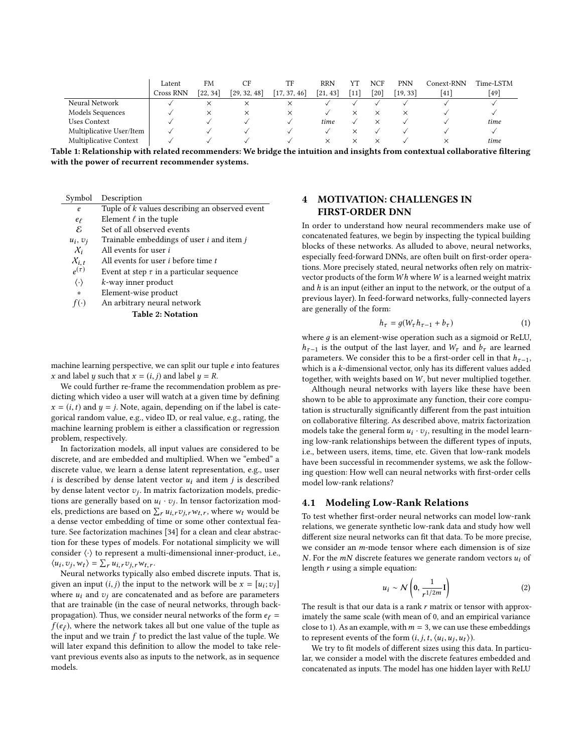<span id="page-2-0"></span>

|                          | Latent    | <b>FM</b> | СF           | TF           | <b>RRN</b>               | YΊ     | NCF  | PNN      | Conext-RNN | Time-LSTM |
|--------------------------|-----------|-----------|--------------|--------------|--------------------------|--------|------|----------|------------|-----------|
|                          | Cross RNN | [22, 34]  | [29, 32, 48] | [17, 37, 46] | $\left[21\right]$<br>-43 | $[11]$ | [20] | [19, 33] | [41]       | [49]      |
| Neural Network           |           | ×         | ×            |              |                          |        |      |          |            |           |
| Models Sequences         |           | ×         | ×            | ×            |                          |        |      |          |            |           |
| <b>Uses Context</b>      |           |           |              |              | time                     |        |      |          |            | time      |
| Multiplicative User/Item |           |           |              |              |                          |        |      |          |            |           |
| Multiplicative Context   |           |           |              |              | ×                        |        |      |          |            | time      |

Table 1: Relationship with related recommenders: We bridge the intuition and insights from contextual collaborative filtering with the power of recurrent recommender systems.

| Symbol                   | Description                                             |  |  |  |
|--------------------------|---------------------------------------------------------|--|--|--|
| e                        | Tuple of k values describing an observed event          |  |  |  |
| $e_{\ell}$               | Element $\ell$ in the tuple                             |  |  |  |
| E                        | Set of all observed events                              |  |  |  |
| $u_i, v_i$               | Trainable embeddings of user <i>i</i> and item <i>j</i> |  |  |  |
| $\chi_i$                 | All events for user <i>i</i>                            |  |  |  |
| $\chi_{i,t}$             | All events for user <i>i</i> before time <i>t</i>       |  |  |  |
| $\rho(\tau)$             | Event at step $\tau$ in a particular sequence           |  |  |  |
| $\langle \cdot \rangle$  | k-way inner product                                     |  |  |  |
| *                        | Element-wise product                                    |  |  |  |
| $f(\cdot)$               | An arbitrary neural network                             |  |  |  |
| <b>Table 2: Notation</b> |                                                         |  |  |  |

machine learning perspective, we can split our tuple e into features x and label y such that  $x = (i, j)$  and label  $y = R$ .

We could further re-frame the recommendation problem as predicting which video a user will watch at a given time by defining  $x = (i, t)$  and  $y = j$ . Note, again, depending on if the label is categorical random value, e.g., video ID, or real value, e.g., rating, the machine learning problem is either a classification or regression problem, respectively.

In factorization models, all input values are considered to be discrete, and are embedded and multiplied. When we "embed" a discrete value, we learn a dense latent representation, e.g., user  $i$  is described by dense latent vector  $u_i$  and item  $j$  is described by dense latent vector  $v_j$ . In matrix factorization models, predic-<br>tions are generally based on  $u_j$ ,  $v_k$ . In tensor factorization models tions are generally based on  $u_i \cdot v_j$ . In tensor factorization mod-<br>els predictions are based on  $\Sigma$ ,  $u_i$ ,  $v_i$ , where  $w_i$  would be els, predictions are based on  $\sum_{r} u_{i,r} v_{j,r} w_{t,r}$ , where  $w_t$  would be<br>a dense vector embedding of time or some other contextual feaa dense vector embedding of time or some other contextual feature. See factorization machines [\[34\]](#page-8-23) for a clean and clear abstraction for these types of models. For notational simplicity we will consider ⟨·⟩ to represent a multi-dimensional inner-product, i.e.,  $\langle u_i, v_j, w_t \rangle = \sum_r u_{i,r} v_{j,r} w_{t,r}.$ <br>Neural networks typically

Neural networks typically also embed discrete inputs. That is, given an input  $(i, j)$  the input to the network will be  $x = [u_i; v_j]$ <br>where  $u_i$  and  $v_j$  are concatenated and as before are parameters where  $u_i$  and  $v_i$  are concatenated and as before are parameters that are trainable (in the case of neural networks, through backpropagation). Thus, we consider neural networks of the form  $e_\ell =$  $f(e_{\bar{\ell}})$ , where the network takes all but one value of the tuple as the input and we train f to predict the last value of the tuple. We the input and we train  $f$  to predict the last value of the tuple. We will later expand this definition to allow the model to take relevant previous events also as inputs to the network, as in sequence models.

# <span id="page-2-1"></span>4 MOTIVATION: CHALLENGES IN FIRST-ORDER DNN

In order to understand how neural recommenders make use of concatenated features, we begin by inspecting the typical building blocks of these networks. As alluded to above, neural networks, especially feed-forward DNNs, are often built on first-order operations. More precisely stated, neural networks often rely on matrixvector products of the form  $Wh$  where  $W$  is a learned weight matrix and  $h$  is an input (either an input to the network, or the output of a previous layer). In feed-forward networks, fully-connected layers are generally of the form:

$$
h_{\tau} = g(W_{\tau}h_{\tau-1} + b_{\tau})
$$
 (1)

where  $q$  is an element-wise operation such as a sigmoid or ReLU,  $h_{\tau-1}$  is the output of the last layer, and  $W_{\tau}$  and  $b_{\tau}$  are learned parameters. We consider this to be a first-order cell in that  $h_{\tau-1}$ , which is a k-dimensional vector, only has its different values added together, with weights based on W, but never multiplied together.

Although neural networks with layers like these have been shown to be able to approximate any function, their core computation is structurally significantly different from the past intuition on collaborative filtering. As described above, matrix factorization models take the general form  $u_i \cdot v_j$ , resulting in the model learn-<br>ing low-rank relationships between the different types of inputs ing low-rank relationships between the different types of inputs, i.e., between users, items, time, etc. Given that low-rank models have been successful in recommender systems, we ask the following question: How well can neural networks with first-order cells model low-rank relations?

#### 4.1 Modeling Low-Rank Relations

To test whether first-order neural networks can model low-rank relations, we generate synthetic low-rank data and study how well different size neural networks can fit that data. To be more precise, we consider an m-mode tensor where each dimension is of size N. For the  $mN$  discrete features we generate random vectors  $u_i$  of length  $r$  using a simple equation:

$$
u_i \sim \mathcal{N}\left(0, \frac{1}{r^{1/2m}}\mathbf{I}\right) \tag{2}
$$

The result is that our data is a rank  $r$  matrix or tensor with approx-<br>imately the same scale (with mean of 0, and an empirical variance imately the same scale (with mean of 0, and an empirical variance close to 1). As an example, with  $m = 3$ , we can use these embeddings to represent events of the form  $(i, j, t, \langle u_i, u_j, u_t \rangle)$ .<br>We try to fit models of different sizes using this

We try to fit models of different sizes using this data. In particular, we consider a model with the discrete features embedded and concatenated as inputs. The model has one hidden layer with ReLU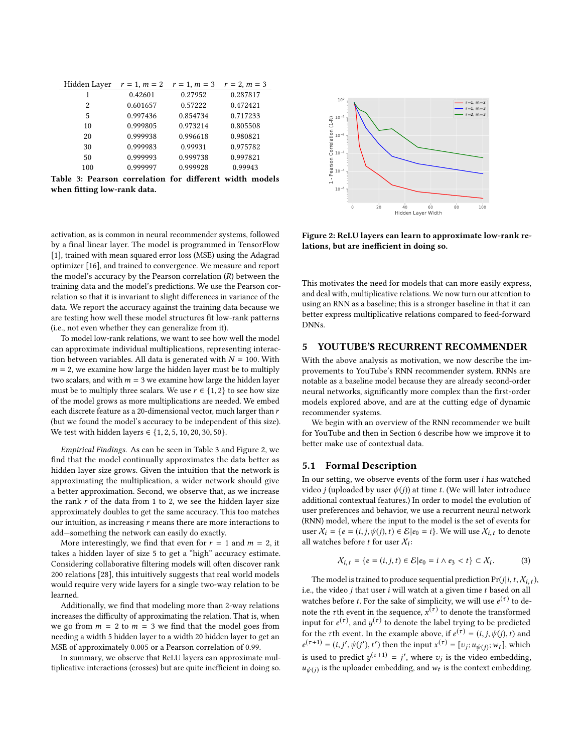<span id="page-3-0"></span>

| Hidden Layer $r = 1$ , $m = 2$ $r = 1$ , $m = 3$ $r = 2$ , $m = 3$ |          |          |          |  |
|--------------------------------------------------------------------|----------|----------|----------|--|
| 1                                                                  | 0.42601  | 0.27952  | 0.287817 |  |
| 2                                                                  | 0.601657 | 0.57222  | 0.472421 |  |
| 5                                                                  | 0.997436 | 0.854734 | 0.717233 |  |
| 10                                                                 | 0.999805 | 0.973214 | 0.805508 |  |
| 20                                                                 | 0.999938 | 0.996618 | 0.980821 |  |
| 30                                                                 | 0.999983 | 0.99931  | 0.975782 |  |
| 50                                                                 | 0.999993 | 0.999738 | 0.997821 |  |
| 100                                                                | 0.999997 | 0.999928 | 0.99943  |  |
| Table 3: Pearson correlation for different width models            |          |          |          |  |

when fitting low-rank data.

activation, as is common in neural recommender systems, followed by a final linear layer. The model is programmed in TensorFlow [\[1\]](#page-8-45), trained with mean squared error loss (MSE) using the Adagrad optimizer [\[16\]](#page-8-46), and trained to convergence. We measure and report the model's accuracy by the Pearson correlation  $(R)$  between the training data and the model's predictions. We use the Pearson correlation so that it is invariant to slight differences in variance of the data. We report the accuracy against the training data because we are testing how well these model structures fit low-rank patterns (i.e., not even whether they can generalize from it).

To model low-rank relations, we want to see how well the model can approximate individual multiplications, representing interaction between variables. All data is generated with  $N = 100$ . With  $m = 2$ , we examine how large the hidden layer must be to multiply two scalars, and with  $m = 3$  we examine how large the hidden layer must be to multiply three scalars. We use  $r \in \{1, 2\}$  to see how size of the model grows as more multiplications are needed. We embed each discrete feature as a 20-dimensional vector, much larger than r (but we found the model's accuracy to be independent of this size). We test with hidden layers ∈  ${1, 2, 5, 10, 20, 30, 50}.$ 

Empirical Findings. As can be seen in Table [3](#page-3-0) and Figure [2,](#page-3-1) we find that the model continually approximates the data better as hidden layer size grows. Given the intuition that the network is approximating the multiplication, a wider network should give a better approximation. Second, we observe that, as we increase the rank  $r$  of the data from 1 to 2, we see the hidden layer size approximately doubles to get the same accuracy. This too matches our intuition, as increasing  $r$  means there are more interactions to add—something the network can easily do exactly.

More interestingly, we find that even for  $r = 1$  and  $m = 2$ , it takes a hidden layer of size 5 to get a "high" accuracy estimate. Considering collaborative filtering models will often discover rank 200 relations [\[28\]](#page-8-2), this intuitively suggests that real world models would require very wide layers for a single two-way relation to be learned.

Additionally, we find that modeling more than 2-way relations increases the difficulty of approximating the relation. That is, when we go from  $m = 2$  to  $m = 3$  we find that the model goes from needing a width 5 hidden layer to a width 20 hidden layer to get an MSE of approximately 0.005 or a Pearson correlation of 0.99.

In summary, we observe that ReLU layers can approximate multiplicative interactions (crosses) but are quite inefficient in doing so.

<span id="page-3-1"></span>

Figure 2: ReLU layers can learn to approximate low-rank relations, but are inefficient in doing so.

This motivates the need for models that can more easily express, and deal with, multiplicative relations. We now turn our attention to using an RNN as a baseline; this is a stronger baseline in that it can better express multiplicative relations compared to feed-forward DNNs.

# 5 YOUTUBE'S RECURRENT RECOMMENDER

With the above analysis as motivation, we now describe the improvements to YouTube's RNN recommender system. RNNs are notable as a baseline model because they are already second-order neural networks, significantly more complex than the first-order models explored above, and are at the cutting edge of dynamic recommender systems.

We begin with an overview of the RNN recommender we built for YouTube and then in Section [6](#page-4-0) describe how we improve it to better make use of contextual data.

#### 5.1 Formal Description

In our setting, we observe events of the form user  $i$  has watched video *j* (uploaded by user  $\psi(j)$ ) at time *t*. (We will later introduce additional contextual features.) In order to model the evolution of user preferences and behavior, we use a recurrent neural network (RNN) model, where the input to the model is the set of events for user  $X_i = \{e = (i, j, \psi(j), t) \in \mathcal{E} | e_0 = i\}$ . We will use  $X_{i,t}$  to denote all watches before *t* for user  $\chi_i$ :

$$
\mathcal{X}_{i,t} = \{e = (i,j,t) \in \mathcal{E} | e_0 = i \wedge e_3 < t\} \subset \mathcal{X}_i. \tag{3}
$$

The model is trained to produce sequential prediction  $Pr(j|i, t, X_{i,t})$ , i.e., the video  $j$  that user  $i$  will watch at a given time  $t$  based on all watches before t. For the sake of simplicity, we will use  $e^{(\tau)}$  to de-<br>note the the went in the sequence  $x^{(\tau)}$  to denote the transformed note the  $\tau$ th event in the sequence,  $x^{(\tau)}$  to denote the transformed<br>input for  $a^{(\tau)}$  and  $u^{(\tau)}$  to denote the label truing to be predicted input for  $e^{(\tau)}$ , and  $y^{(\tau)}$  to denote the label trying to be predicted<br>for the sth quant. In the quantile above if  $e^{(\tau)} = (i, j, y(i), t)$  and for the  $\tau$ th event. In the example above, if  $e^{(\tau)} = (i, j, \psi(j), t)$  and  $e^{(\tau+1)} = (i, j', \psi(j), t')$  then the input  $e^{(\tau)} = [\text{sum } y, \psi(j), t]$  which is used to predict  $y^{(\tau+1)} = j'$ , where  $v_j$  is the video embedding,<br> $u(x)$  is the unloader embedding, and  $u_j$  is the context embedding.  $(x+1) = (i, j', \psi(j'), t')$  then the input  $x^{(\tau)} = [v_j; u_{\psi(j)}; w_t]$ , which  $u_{\psi(j)}$  is the uploader embedding, and  $w_t$  is the context embedding.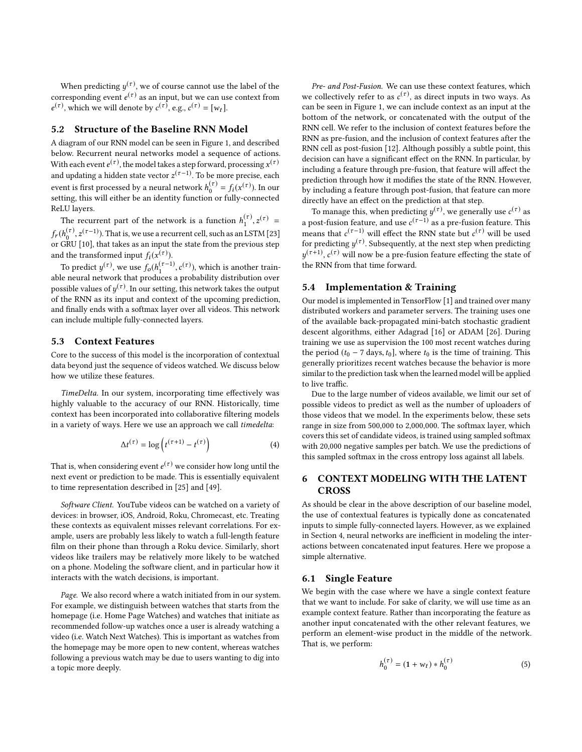When predicting  $y^{(\tau)}$ , we of course cannot use the label of the recognoming quant  $q^{(\tau)}$  as an input, but we can use contact from corresponding event *e*<br> $e^{(\tau)}$  which we will do  $(\tau)$  as an input, but we can use context from  $e^{(\tau)}$ , which we will denote by  $c^{(\tau)}$ , e.g.,  $c^{(\tau)} = [w_t]$ .

# 5.2 Structure of the Baseline RNN Model

A diagram of our RNN model can be seen in Figure [1,](#page-0-0) and described below. Recurrent neural networks model a sequence of actions. With each event  $e^{(\tau)}$ , the model takes a step forward, processing  $x^{(\tau)}$ <br>and undeting a hidden state yetter  $z^{(\tau-1)}$ . To be more precise, each and updating a hidden state vector  $z^{(\tau-1)}$ . To be more precise, each means in  $f_{\alpha}(\tau)$ ,  $f_{\alpha}(\tau)$ ,  $f_{\alpha}(\tau)$ ,  $f_{\alpha}(\tau)$ event is first processed by a neural network  $h_0^{(\tau)} = f_i(x^{(\tau)})$ . In our setting this will either be an identity function or fully-connected setting, this will either be an identity function or fully-connected ReLU layers.

The recurrent part of the network is a function  $h_1^{(\tau)}, z^{(\tau)} =$  $f_r(h_0^{(\tau)}, z^{(\tau-1)})$ . That is, we use a recurrent cell, such as an LSTM [\[23\]](#page-8-32) or GRU [\[10\]](#page-8-33), that takes as an input the state from the previous step and the transformed input  $f_i(x^{(\tau)})$ .

To predict  $y^{(\tau)}$ , we use  $f_o(h_1^{(\tau-1)}, c^{(\tau)})$ , which is another trainable neural network that produces a probability distribution over possible values of  $y^{(\tau)}$ . In our setting, this network takes the output<br>of the PNN as its input and context of the upcoming prediction of the RNN as its input and context of the upcoming prediction, and finally ends with a softmax layer over all videos. This network can include multiple fully-connected layers.

# 5.3 Context Features

Core to the success of this model is the incorporation of contextual data beyond just the sequence of videos watched. We discuss below how we utilize these features.

TimeDelta. In our system, incorporating time effectively was highly valuable to the accuracy of our RNN. Historically, time context has been incorporated into collaborative filtering models in a variety of ways. Here we use an approach we call timedelta:

$$
\Delta t^{(\tau)} = \log \left( t^{(\tau+1)} - t^{(\tau)} \right) \tag{4}
$$

That is, when considering event  $e^{(\tau)}$  we consider how long until the next event or prediction to be mode. This is essentially equivalent next event or prediction to be made. This is essentially equivalent to time representation described in [\[25\]](#page-8-13) and [\[49\]](#page-8-31).

Software Client. YouTube videos can be watched on a variety of devices: in browser, iOS, Android, Roku, Chromecast, etc. Treating these contexts as equivalent misses relevant correlations. For example, users are probably less likely to watch a full-length feature film on their phone than through a Roku device. Similarly, short videos like trailers may be relatively more likely to be watched on a phone. Modeling the software client, and in particular how it interacts with the watch decisions, is important.

Page. We also record where a watch initiated from in our system. For example, we distinguish between watches that starts from the homepage (i.e. Home Page Watches) and watches that initiate as recommended follow-up watches once a user is already watching a video (i.e. Watch Next Watches). This is important as watches from the homepage may be more open to new content, whereas watches following a previous watch may be due to users wanting to dig into a topic more deeply.

Pre- and Post-Fusion. We can use these context features, which we collectively refer to as  $c^{(\tau)}$ , as direct inputs in two ways. As<br>can be seen in Figure 1, we can include context as an input at the can be seen in Figure [1,](#page-0-0) we can include context as an input at the bottom of the network, or concatenated with the output of the RNN cell. We refer to the inclusion of context features before the RNN as pre-fusion, and the inclusion of context features after the RNN cell as post-fusion [\[12\]](#page-8-47). Although possibly a subtle point, this decision can have a significant effect on the RNN. In particular, by including a feature through pre-fusion, that feature will affect the prediction through how it modifies the state of the RNN. However, by including a feature through post-fusion, that feature can more directly have an effect on the prediction at that step.

To manage this, when predicting  $y^{(\tau)}$ , we generally use  $c^{(\tau)}$  as a post-fusion feature, and use  $c$ <br>means that  $e^{(\tau-1)}$  will effect the  $(\tau$ <sup>-1)</sup> as a pre-fusion feature. This means that  $c^{(\tau-1)}$  will effect the RNN state but  $c^{(\tau)}$  will be used<br>for predicting  $u^{(\tau)}$ . Subsequently, at the next stap when predicting for predicting  $y^{(\tau)}$ . Subsequently, at the next step when predicting  $y^{(\tau+1)}$  of will now be a pro-fusion feature effecting the state of y the RNN from that time forward.  $(\tau+1)$ ,  $c(\tau)$  will now be a pre-fusion feature effecting the state of

# 5.4 Implementation & Training

Our model is implemented in TensorFlow [\[1\]](#page-8-45) and trained over many distributed workers and parameter servers. The training uses one of the available back-propagated mini-batch stochastic gradient descent algorithms, either Adagrad [\[16\]](#page-8-46) or ADAM [\[26\]](#page-8-48). During training we use as supervision the 100 most recent watches during the period ( $t_0$  – 7 days,  $t_0$ ], where  $t_0$  is the time of training. This generally prioritizes recent watches because the behavior is more similar to the prediction task when the learned model will be applied to live traffic.

Due to the large number of videos available, we limit our set of possible videos to predict as well as the number of uploaders of those videos that we model. In the experiments below, these sets range in size from 500,000 to 2,000,000. The softmax layer, which covers this set of candidate videos, is trained using sampled softmax with 20,000 negative samples per batch. We use the predictions of this sampled softmax in the cross entropy loss against all labels.

# <span id="page-4-0"></span>6 CONTEXT MODELING WITH THE LATENT **CROSS**

As should be clear in the above description of our baseline model, the use of contextual features is typically done as concatenated inputs to simple fully-connected layers. However, as we explained in Section [4,](#page-2-1) neural networks are inefficient in modeling the interactions between concatenated input features. Here we propose a simple alternative.

# 6.1 Single Feature

We begin with the case where we have a single context feature that we want to include. For sake of clarity, we will use time as an example context feature. Rather than incorporating the feature as another input concatenated with the other relevant features, we perform an element-wise product in the middle of the network. That is, we perform:

$$
h_0^{(\tau)} = (1 + w_t) * h_0^{(\tau)}
$$
 (5)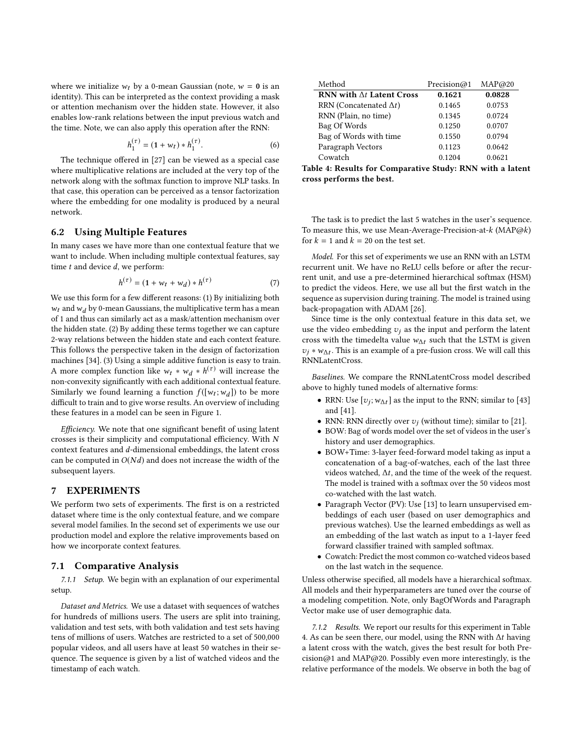where we initialize  $w_t$  by a 0-mean Gaussian (note,  $w = 0$  is an identity). This can be interpreted as the context providing a mask or attention mechanism over the hidden state. However, it also enables low-rank relations between the input previous watch and the time. Note, we can also apply this operation after the RNN:

$$
h_1^{(\tau)} = (1 + w_t) * h_1^{(\tau)}.
$$
 (6)

The technique offered in [\[27\]](#page-8-36) can be viewed as a special case where multiplicative relations are included at the very top of the network along with the softmax function to improve NLP tasks. In that case, this operation can be perceived as a tensor factorization where the embedding for one modality is produced by a neural network.

#### 6.2 Using Multiple Features

In many cases we have more than one contextual feature that we want to include. When including multiple contextual features, say time  $t$  and device  $d$ , we perform:

$$
h^{(\tau)} = (1 + w_t + w_d) * h^{(\tau)} \tag{7}
$$

We use this form for a few different reasons: (1) By initializing both  $w_t$  and  $w_d$  by 0-mean Gaussians, the multiplicative term has a mean of 1 and thus can similarly act as a mask/attention mechanism over the hidden state. (2) By adding these terms together we can capture 2-way relations between the hidden state and each context feature. This follows the perspective taken in the design of factorization machines [\[34\]](#page-8-23). (3) Using a simple additive function is easy to train. A more complex function like  $w_t * w_d * h^{(\tau)}$  will increase the non-convexity significantly with each additional contextual feature non-convexity significantly with each additional contextual feature. Similarly we found learning a function  $f([w_t; w_d])$  to be more<br>difficult to train and to give worse results. An overview of including difficult to train and to give worse results. An overview of including these features in a model can be seen in Figure [1.](#page-0-0)

Efficiency. We note that one significant benefit of using latent crosses is their simplicity and computational efficiency. With  $N$ context features and d-dimensional embeddings, the latent cross can be computed in  $O(Nd)$  and does not increase the width of the subsequent layers.

# 7 EXPERIMENTS

We perform two sets of experiments. The first is on a restricted dataset where time is the only contextual feature, and we compare several model families. In the second set of experiments we use our production model and explore the relative improvements based on how we incorporate context features.

#### 7.1 Comparative Analysis

7.1.1 Setup. We begin with an explanation of our experimental setup.

Dataset and Metrics. We use a dataset with sequences of watches for hundreds of millions users. The users are split into training, validation and test sets, with both validation and test sets having tens of millions of users. Watches are restricted to a set of 500,000 popular videos, and all users have at least 50 watches in their sequence. The sequence is given by a list of watched videos and the timestamp of each watch.

<span id="page-5-0"></span>

| Method                           | Precision@1 | MAP@20 |
|----------------------------------|-------------|--------|
| RNN with $\Delta t$ Latent Cross | 0.1621      | 0.0828 |
| RRN (Concatenated $\Delta t$ )   | 0.1465      | 0.0753 |
| RNN (Plain, no time)             | 0.1345      | 0.0724 |
| Bag Of Words                     | 0.1250      | 0.0707 |
| Bag of Words with time           | 0.1550      | 0.0794 |
| Paragraph Vectors                | 0.1123      | 0.0642 |
| Cowatch                          | 0.1204      | 0.0621 |

Table 4: Results for Comparative Study: RNN with a latent cross performs the best.

The task is to predict the last 5 watches in the user's sequence. To measure this, we use Mean-Average-Precision-at- $k$  (MAP $@k$ ) for  $k = 1$  and  $k = 20$  on the test set.

Model. For this set of experiments we use an RNN with an LSTM recurrent unit. We have no ReLU cells before or after the recurrent unit, and use a pre-determined hierarchical softmax (HSM) to predict the videos. Here, we use all but the first watch in the sequence as supervision during training. The model is trained using back-propagation with ADAM [\[26\]](#page-8-48).

Since time is the only contextual feature in this data set, we use the video embedding  $v_j$  as the input and perform the latent cross with the timedelta value  $w_{\Lambda t}$  such that the LSTM is given  $v_j * w_{\Delta t}$ . This is an example of a pre-fusion cross. We will call this pNNI at antCross RNNLatentCross.

Baselines. We compare the RNNLatentCross model described above to highly tuned models of alternative forms:

- RRN: Use  $[v_j; w_{\Delta t}]$  as the input to the RNN; similar to [\[43\]](#page-8-15) and [\[41\]](#page-8-30).
- RNN: RNN directly over  $v_j$  (without time); similar to [\[21\]](#page-8-29).
- BOW: Bag of words model over the set of videos in the user's history and user demographics.
- BOW+Time: 3-layer feed-forward model taking as input a concatenation of a bag-of-watches, each of the last three videos watched,  $\Delta t$ , and the time of the week of the request. The model is trained with a softmax over the 50 videos most co-watched with the last watch.
- Paragraph Vector (PV): Use [\[13\]](#page-8-49) to learn unsupervised embeddings of each user (based on user demographics and previous watches). Use the learned embeddings as well as an embedding of the last watch as input to a 1-layer feed forward classifier trained with sampled softmax.
- Cowatch: Predict the most common co-watched videos based on the last watch in the sequence.

Unless otherwise specified, all models have a hierarchical softmax. All models and their hyperparameters are tuned over the course of a modeling competition. Note, only BagOfWords and Paragraph Vector make use of user demographic data.

7.1.2 Results. We report our results for this experiment in Table [4.](#page-5-0) As can be seen there, our model, using the RNN with ∆t having a latent cross with the watch, gives the best result for both Precision@1 and MAP@20. Possibly even more interestingly, is the relative performance of the models. We observe in both the bag of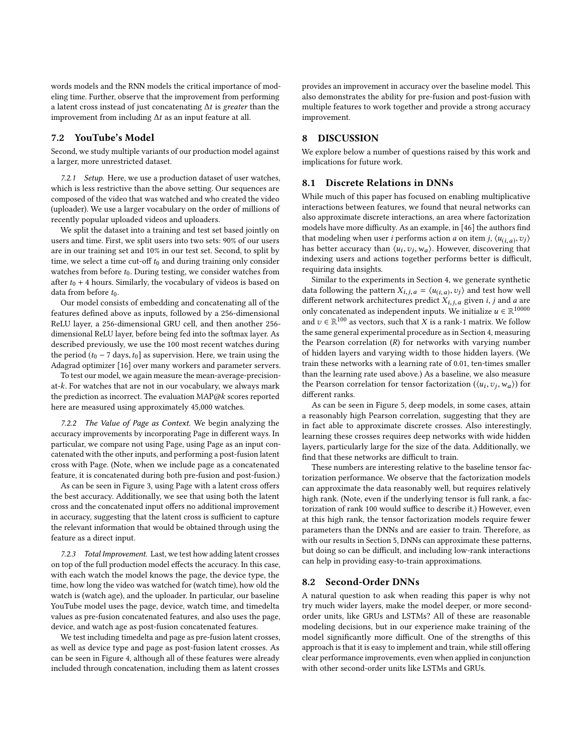words models and the RNN models the critical importance of modeling time. Further, observe that the improvement from performing a latent cross instead of just concatenating  $\Delta t$  is greater than the improvement from including  $\Delta t$  as an input feature at all.

#### 7.2 YouTube's Model

Second, we study multiple variants of our production model against a larger, more unrestricted dataset.

7.2.1 Setup. Here, we use a production dataset of user watches, which is less restrictive than the above setting. Our sequences are composed of the video that was watched and who created the video (uploader). We use a larger vocabulary on the order of millions of recently popular uploaded videos and uploaders.

We split the dataset into a training and test set based jointly on users and time. First, we split users into two sets: 90% of our users are in our training set and 10% in our test set. Second, to split by time, we select a time cut-off  $t_0$  and during training only consider watches from before  $t_0$ . During testing, we consider watches from after  $t_0$  + 4 hours. Similarly, the vocabulary of videos is based on data from before  $t_0$ .

Our model consists of embedding and concatenating all of the features defined above as inputs, followed by a 256-dimensional ReLU layer, a 256-dimensional GRU cell, and then another 256 dimensional ReLU layer, before being fed into the softmax layer. As described previously, we use the 100 most recent watches during the period ( $t_0$  – 7 days,  $t_0$ ] as supervision. Here, we train using the Adagrad optimizer [\[16\]](#page-8-46) over many workers and parameter servers.

To test our model, we again measure the mean-average-precisionat-k. For watches that are not in our vocabulary, we always mark the prediction as incorrect. The evaluation MAP@k scores reported here are measured using approximately 45,000 watches.

7.2.2 The Value of Page as Context. We begin analyzing the accuracy improvements by incorporating Page in different ways. In particular, we compare not using Page, using Page as an input concatenated with the other inputs, and performing a post-fusion latent cross with Page. (Note, when we include page as a concatenated feature, it is concatenated during both pre-fusion and post-fusion.)

As can be seen in Figure [3,](#page-7-0) using Page with a latent cross offers the best accuracy. Additionally, we see that using both the latent cross and the concatenated input offers no additional improvement in accuracy, suggesting that the latent cross is sufficient to capture the relevant information that would be obtained through using the feature as a direct input.

7.2.3 Total Improvement. Last, we test how adding latent crosses on top of the full production model effects the accuracy. In this case, with each watch the model knows the page, the device type, the time, how long the video was watched for (watch time), how old the watch is (watch age), and the uploader. In particular, our baseline YouTube model uses the page, device, watch time, and timedelta values as pre-fusion concatenated features, and also uses the page, device, and watch age as post-fusion concatenated features.

We test including timedelta and page as pre-fusion latent crosses, as well as device type and page as post-fusion latent crosses. As can be seen in Figure [4,](#page-7-1) although all of these features were already included through concatenation, including them as latent crosses

provides an improvement in accuracy over the baseline model. This also demonstrates the ability for pre-fusion and post-fusion with multiple features to work together and provide a strong accuracy improvement.

# 8 DISCUSSION

We explore below a number of questions raised by this work and implications for future work.

# 8.1 Discrete Relations in DNNs

While much of this paper has focused on enabling multiplicative interactions between features, we found that neural networks can also approximate discrete interactions, an area where factorization models have more difficulty. As an example, in [\[46\]](#page-8-11) the authors find that modeling when user *i* performs action *a* on item *j*,  $\langle u_{(i,a)}, v_j \rangle$ <br>has better accuracy than  $\langle u_i, v_j \rangle$ . However, discovering that has better accuracy than  $\langle u_i, v_j, w_a \rangle$ . However, discovering that indexing users and actions together performs better is difficult indexing users and actions together performs better is difficult, requiring data insights.

Similar to the experiments in Section [4,](#page-2-1) we generate synthetic data following the pattern  $X_{i,j,a} = \langle u_{(i,a)}, v_j \rangle$  and test how well<br>different network architectures predict  $X_{i,j,a}$  given i j and g are different network architectures predict  $X_{i,j,a}$  given  $i, j$  and  $a$  are only concatenated as independent inputs. We initialize  $u \in \mathbb{R}^{10000}$ <br>and  $v \in \mathbb{R}^{100}$  as vectors, such that X is a rank-1 matrix. We follow and  $v \in \mathbb{R}^{100}$  as vectors, such that X is a rank-1 matrix. We follow the same general experimental procedure as in Section [4,](#page-2-1) measuring the Pearson correlation  $(R)$  for networks with varying number of hidden layers and varying width to those hidden layers. (We train these networks with a learning rate of 0.01, ten-times smaller than the learning rate used above.) As a baseline, we also measure the Pearson correlation for tensor factorization ( $\langle u_i, v_j, w_a \rangle$ ) for different ranks different ranks.

As can be seen in Figure [5,](#page-7-2) deep models, in some cases, attain a reasonably high Pearson correlation, suggesting that they are in fact able to approximate discrete crosses. Also interestingly, learning these crosses requires deep networks with wide hidden layers, particularly large for the size of the data. Additionally, we find that these networks are difficult to train.

These numbers are interesting relative to the baseline tensor factorization performance. We observe that the factorization models can approximate the data reasonably well, but requires relatively high rank. (Note, even if the underlying tensor is full rank, a factorization of rank 100 would suffice to describe it.) However, even at this high rank, the tensor factorization models require fewer parameters than the DNNs and are easier to train. Therefore, as with our results in Section [5,](#page-7-2) DNNs can approximate these patterns, but doing so can be difficult, and including low-rank interactions can help in providing easy-to-train approximations.

#### 8.2 Second-Order DNNs

A natural question to ask when reading this paper is why not try much wider layers, make the model deeper, or more secondorder units, like GRUs and LSTMs? All of these are reasonable modeling decisions, but in our experience make training of the model significantly more difficult. One of the strengths of this approach is that it is easy to implement and train, while still offering clear performance improvements, even when applied in conjunction with other second-order units like LSTMs and GRUs.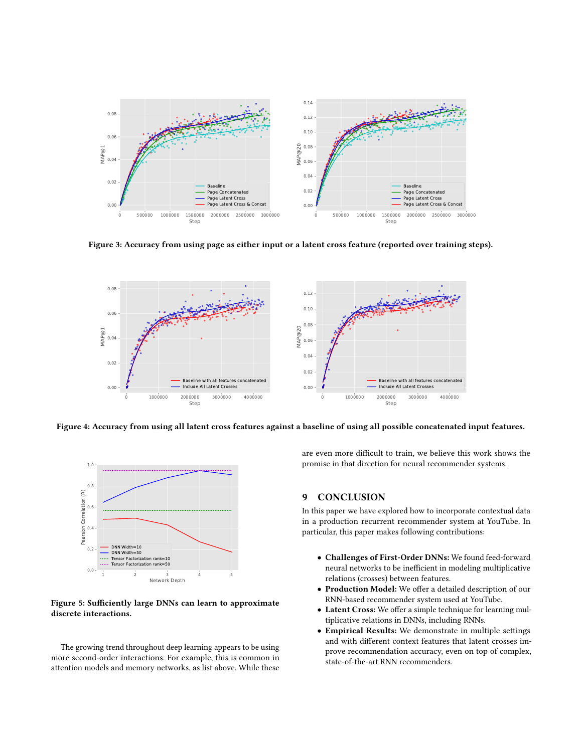<span id="page-7-0"></span>

Figure 3: Accuracy from using page as either input or a latent cross feature (reported over training steps).

<span id="page-7-1"></span>

<span id="page-7-2"></span>Figure 4: Accuracy from using all latent cross features against a baseline of using all possible concatenated input features.



Figure 5: Sufficiently large DNNs can learn to approximate discrete interactions.

The growing trend throughout deep learning appears to be using more second-order interactions. For example, this is common in attention models and memory networks, as list above. While these

are even more difficult to train, we believe this work shows the promise in that direction for neural recommender systems.

# 9 CONCLUSION

In this paper we have explored how to incorporate contextual data in a production recurrent recommender system at YouTube. In particular, this paper makes following contributions:

- Challenges of First-Order DNNs: We found feed-forward neural networks to be inefficient in modeling multiplicative relations (crosses) between features.
- Production Model: We offer a detailed description of our RNN-based recommender system used at YouTube.
- Latent Cross: We offer a simple technique for learning multiplicative relations in DNNs, including RNNs.
- Empirical Results: We demonstrate in multiple settings and with different context features that latent crosses improve recommendation accuracy, even on top of complex, state-of-the-art RNN recommenders.